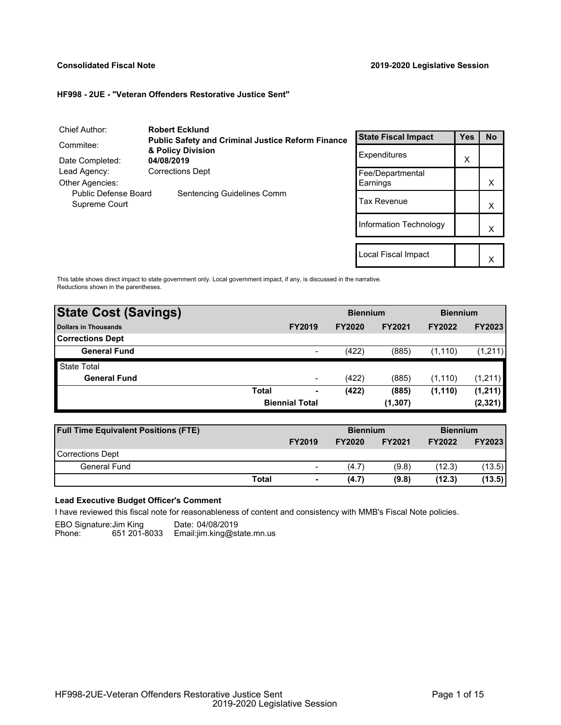## **Consolidated Fiscal Note 2019-2020 Legislative Session**

 $\vert x \vert$ 

#### **HF998 - 2UE - "Veteran Offenders Restorative Justice Sent"**

| Chief Author:                         | <b>Robert Ecklund</b>                                    |                            |     |           |
|---------------------------------------|----------------------------------------------------------|----------------------------|-----|-----------|
|                                       | <b>Public Safety and Criminal Justice Reform Finance</b> | <b>State Fiscal Impact</b> | Yes | No        |
| Commitee:<br>Date Completed:          | & Policy Division<br>04/08/2019                          | Expenditures               | X   |           |
| Lead Agency:                          | <b>Corrections Dept</b>                                  | Fee/Departmental           |     |           |
| Other Agencies:                       |                                                          | Earnings                   |     | X         |
| Public Defense Board<br>Supreme Court | Sentencing Guidelines Comm                               | <b>Tax Revenue</b>         |     | x         |
|                                       |                                                          | Information Technology     |     | х         |
|                                       |                                                          |                            |     |           |
|                                       |                                                          | Local Fiscal Impact        |     | $\lambda$ |

This table shows direct impact to state government only. Local government impact, if any, is discussed in the narrative. Reductions shown in the parentheses.

| <b>State Cost (Savings)</b> |              | <b>Biennium</b>          |               |               | <b>Biennium</b> |               |  |
|-----------------------------|--------------|--------------------------|---------------|---------------|-----------------|---------------|--|
| Dollars in Thousands        |              | <b>FY2019</b>            | <b>FY2020</b> | <b>FY2021</b> | <b>FY2022</b>   | <b>FY2023</b> |  |
| <b>Corrections Dept</b>     |              |                          |               |               |                 |               |  |
| <b>General Fund</b>         |              | $\overline{\phantom{0}}$ | (422)         | (885)         | (1, 110)        | (1,211)       |  |
| <b>State Total</b>          |              |                          |               |               |                 |               |  |
| <b>General Fund</b>         |              | $\overline{\phantom{a}}$ | (422)         | (885)         | (1, 110)        | (1,211)       |  |
|                             | <b>Total</b> | ٠                        | (422)         | (885)         | (1, 110)        | (1, 211)      |  |
|                             |              | <b>Biennial Total</b>    |               | (1, 307)      |                 | (2, 321)      |  |
|                             |              |                          |               |               |                 |               |  |

| <b>Full Time Equivalent Positions (FTE)</b> |                          | <b>Biennium</b> |               | <b>Biennium</b> |               |
|---------------------------------------------|--------------------------|-----------------|---------------|-----------------|---------------|
|                                             | <b>FY2019</b>            | <b>FY2020</b>   | <b>FY2021</b> | <b>FY2022</b>   | <b>FY2023</b> |
| <b>Corrections Dept</b>                     |                          |                 |               |                 |               |
| General Fund                                | $\overline{\phantom{0}}$ | (4.7)           | (9.8)         | (12.3)          | (13.5)        |
| Total                                       | $\overline{\phantom{a}}$ | (4.7)           | (9.8)         | (12.3)          | (13.5)        |

# **Lead Executive Budget Officer's Comment**

I have reviewed this fiscal note for reasonableness of content and consistency with MMB's Fiscal Note policies.

EBO Signature:Jim King ----Date: 04/08/2019

651 201-8033 Email:jim.king@state.mn.us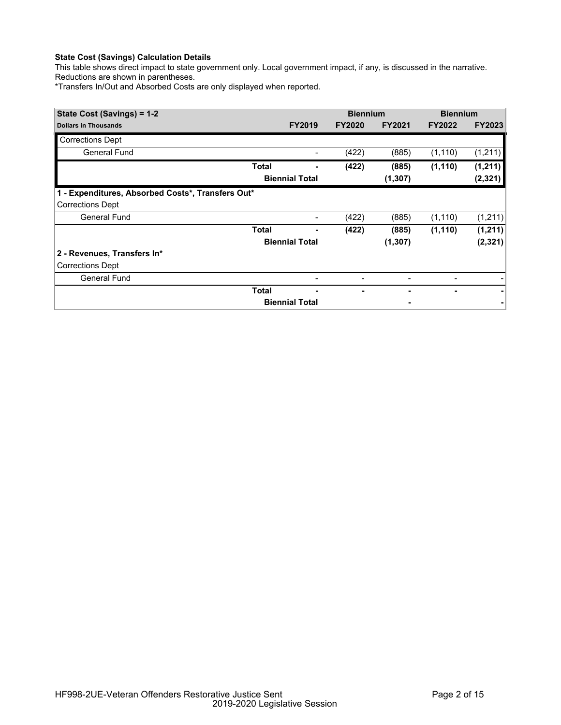This table shows direct impact to state government only. Local government impact, if any, is discussed in the narrative. Reductions are shown in parentheses.

\*Transfers In/Out and Absorbed Costs are only displayed when reported.

| State Cost (Savings) = 1-2                        |              | <b>Biennium</b>          |                          | <b>Biennium</b> |                          |               |
|---------------------------------------------------|--------------|--------------------------|--------------------------|-----------------|--------------------------|---------------|
| <b>Dollars in Thousands</b>                       |              | <b>FY2019</b>            | <b>FY2020</b>            | <b>FY2021</b>   | <b>FY2022</b>            | <b>FY2023</b> |
| <b>Corrections Dept</b>                           |              |                          |                          |                 |                          |               |
| General Fund                                      |              |                          | (422)                    | (885)           | (1, 110)                 | (1, 211)      |
|                                                   | Total        |                          | (422)                    | (885)           | (1, 110)                 | (1, 211)      |
|                                                   |              | <b>Biennial Total</b>    |                          | (1, 307)        |                          | (2,321)       |
| 1 - Expenditures, Absorbed Costs*, Transfers Out* |              |                          |                          |                 |                          |               |
| <b>Corrections Dept</b>                           |              |                          |                          |                 |                          |               |
| <b>General Fund</b>                               |              | -                        | (422)                    | (885)           | (1, 110)                 | (1,211)       |
|                                                   | <b>Total</b> |                          | (422)                    | (885)           | (1, 110)                 | (1, 211)      |
|                                                   |              | <b>Biennial Total</b>    |                          | (1, 307)        |                          | (2, 321)      |
| 2 - Revenues, Transfers In*                       |              |                          |                          |                 |                          |               |
| <b>Corrections Dept</b>                           |              |                          |                          |                 |                          |               |
| <b>General Fund</b>                               |              | $\overline{\phantom{a}}$ | $\overline{\phantom{0}}$ |                 | $\overline{\phantom{a}}$ |               |
|                                                   | <b>Total</b> |                          |                          |                 |                          |               |
|                                                   |              | <b>Biennial Total</b>    |                          |                 |                          |               |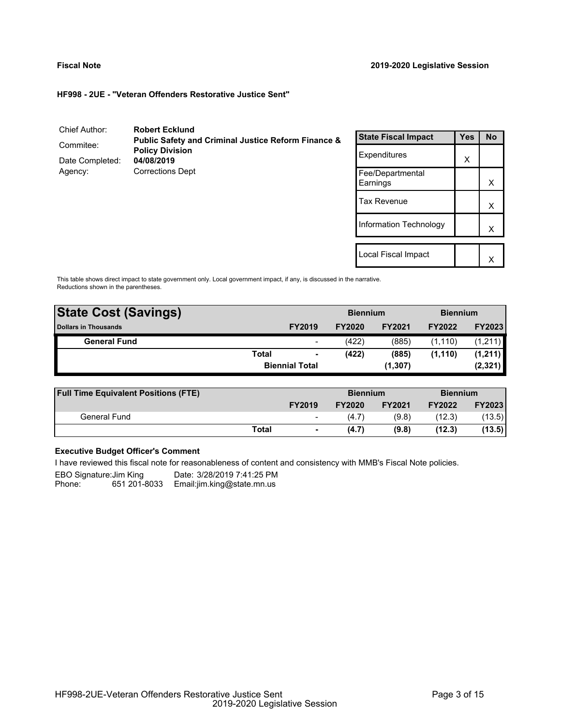$\mathsf{X}$ 

## **HF998 - 2UE - "Veteran Offenders Restorative Justice Sent"**

| Chief Author:   | <b>Robert Ecklund</b>                                          |                              |            |           |
|-----------------|----------------------------------------------------------------|------------------------------|------------|-----------|
|                 | <b>Public Safety and Criminal Justice Reform Finance &amp;</b> | <b>State Fiscal Impact</b>   | <b>Yes</b> | <b>No</b> |
| Commitee:       | <b>Policy Division</b>                                         | Expenditures                 |            |           |
| Date Completed: | 04/08/2019                                                     |                              | X          |           |
| Agency:         | <b>Corrections Dept</b>                                        | Fee/Departmental<br>Earnings |            | X         |
|                 |                                                                | <b>Tax Revenue</b>           |            | X         |
|                 |                                                                | Information Technology       |            | Χ         |
|                 |                                                                |                              |            |           |
|                 |                                                                | Local Fiscal Impact          |            | $\lambda$ |

This table shows direct impact to state government only. Local government impact, if any, is discussed in the narrative. Reductions shown in the parentheses.

| <b>State Cost (Savings)</b> |              |                       | <b>Biennium</b> |               | <b>Biennium</b> |               |
|-----------------------------|--------------|-----------------------|-----------------|---------------|-----------------|---------------|
| <b>Dollars in Thousands</b> |              | <b>FY2019</b>         | <b>FY2020</b>   | <b>FY2021</b> | <b>FY2022</b>   | <b>FY2023</b> |
| <b>General Fund</b>         |              | -                     | (422)           | (885)         | (1, 110)        | (1, 211)      |
|                             | <b>Total</b> |                       | (422)           | (885)         | (1, 110)        | (1,211)       |
|                             |              | <b>Biennial Total</b> |                 | (1, 307)      |                 | (2, 321)      |
|                             |              |                       |                 |               |                 |               |

| <b>Full Time Equivalent Positions (FTE)</b> |              |                          | <b>Biennium</b> |               | <b>Biennium</b> |               |
|---------------------------------------------|--------------|--------------------------|-----------------|---------------|-----------------|---------------|
|                                             |              | <b>FY2019</b>            | <b>FY2020</b>   | <b>FY2021</b> | <b>FY2022</b>   | <b>FY2023</b> |
| General Fund                                |              | $\overline{\phantom{a}}$ | (4.7)           | (9.8)         | (12.3)          | (13.5)        |
|                                             | <b>Total</b> | $\blacksquare$           | (4.7)           | (9.8)         | (12.3)          | (13.5)        |

# **Executive Budget Officer's Comment**

I have reviewed this fiscal note for reasonableness of content and consistency with MMB's Fiscal Note policies.

EBO Signature:Jim King ----Date: 3/28/2019 7:41:25 PM

651 201-8033 Email:jim.king@state.mn.us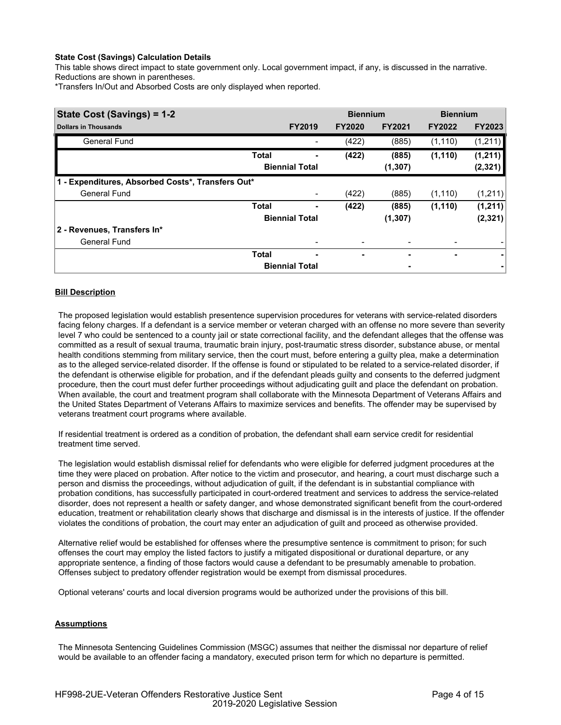This table shows direct impact to state government only. Local government impact, if any, is discussed in the narrative. Reductions are shown in parentheses.

\*Transfers In/Out and Absorbed Costs are only displayed when reported.

| State Cost (Savings) = 1-2                        |              |                       | <b>Biennium</b> |               | <b>Biennium</b> |               |
|---------------------------------------------------|--------------|-----------------------|-----------------|---------------|-----------------|---------------|
| <b>Dollars in Thousands</b>                       |              | <b>FY2019</b>         | <b>FY2020</b>   | <b>FY2021</b> | <b>FY2022</b>   | <b>FY2023</b> |
| <b>General Fund</b>                               |              |                       | (422)           | (885)         | (1, 110)        | (1,211)       |
|                                                   | <b>Total</b> |                       | (422)           | (885)         | (1, 110)        | (1,211)       |
|                                                   |              | <b>Biennial Total</b> |                 | (1, 307)      |                 | (2, 321)      |
| 1 - Expenditures, Absorbed Costs*, Transfers Out* |              |                       |                 |               |                 |               |
| <b>General Fund</b>                               |              |                       | (422)           | (885)         | (1, 110)        | (1,211)       |
|                                                   | <b>Total</b> |                       | (422)           | (885)         | (1, 110)        | (1,211)       |
|                                                   |              | <b>Biennial Total</b> |                 | (1, 307)      |                 | (2, 321)      |
| 2 - Revenues, Transfers In*                       |              |                       |                 |               |                 |               |
| <b>General Fund</b>                               |              |                       |                 |               |                 |               |
|                                                   | <b>Total</b> | ۰                     | ٠               | ٠             | ٠               | ۰             |
|                                                   |              | <b>Biennial Total</b> |                 |               |                 |               |

## **Bill Description**

The proposed legislation would establish presentence supervision procedures for veterans with service-related disorders facing felony charges. If a defendant is a service member or veteran charged with an offense no more severe than severity level 7 who could be sentenced to a county jail or state correctional facility, and the defendant alleges that the offense was committed as a result of sexual trauma, traumatic brain injury, post-traumatic stress disorder, substance abuse, or mental health conditions stemming from military service, then the court must, before entering a guilty plea, make a determination as to the alleged service-related disorder. If the offense is found or stipulated to be related to a service-related disorder, if the defendant is otherwise eligible for probation, and if the defendant pleads guilty and consents to the deferred judgment procedure, then the court must defer further proceedings without adjudicating guilt and place the defendant on probation. When available, the court and treatment program shall collaborate with the Minnesota Department of Veterans Affairs and the United States Department of Veterans Affairs to maximize services and benefits. The offender may be supervised by veterans treatment court programs where available.

If residential treatment is ordered as a condition of probation, the defendant shall earn service credit for residential treatment time served.

The legislation would establish dismissal relief for defendants who were eligible for deferred judgment procedures at the time they were placed on probation. After notice to the victim and prosecutor, and hearing, a court must discharge such a person and dismiss the proceedings, without adjudication of guilt, if the defendant is in substantial compliance with probation conditions, has successfully participated in court-ordered treatment and services to address the service-related disorder, does not represent a health or safety danger, and whose demonstrated significant benefit from the court-ordered education, treatment or rehabilitation clearly shows that discharge and dismissal is in the interests of justice. If the offender violates the conditions of probation, the court may enter an adjudication of guilt and proceed as otherwise provided.

Alternative relief would be established for offenses where the presumptive sentence is commitment to prison; for such offenses the court may employ the listed factors to justify a mitigated dispositional or durational departure, or any appropriate sentence, a finding of those factors would cause a defendant to be presumably amenable to probation. Offenses subject to predatory offender registration would be exempt from dismissal procedures.

Optional veterans' courts and local diversion programs would be authorized under the provisions of this bill.

# **Assumptions**

The Minnesota Sentencing Guidelines Commission (MSGC) assumes that neither the dismissal nor departure of relief would be available to an offender facing a mandatory, executed prison term for which no departure is permitted.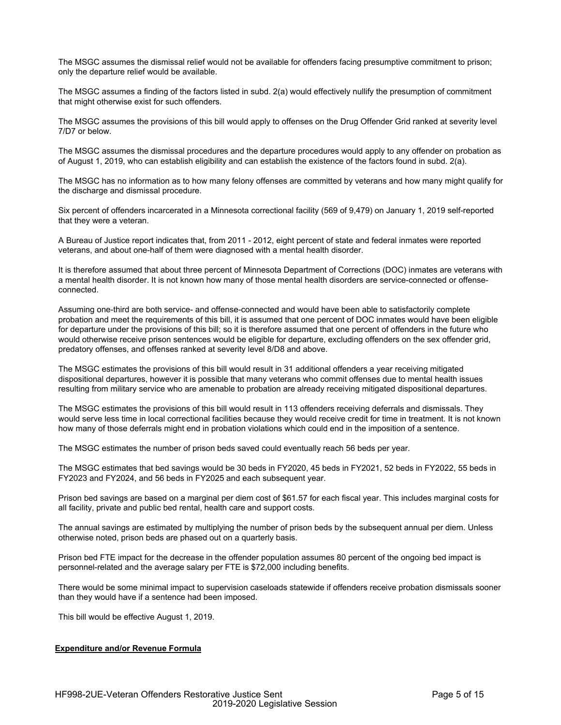The MSGC assumes the dismissal relief would not be available for offenders facing presumptive commitment to prison; only the departure relief would be available.

The MSGC assumes a finding of the factors listed in subd. 2(a) would effectively nullify the presumption of commitment that might otherwise exist for such offenders.

The MSGC assumes the provisions of this bill would apply to offenses on the Drug Offender Grid ranked at severity level 7/D7 or below.

The MSGC assumes the dismissal procedures and the departure procedures would apply to any offender on probation as of August 1, 2019, who can establish eligibility and can establish the existence of the factors found in subd. 2(a).

The MSGC has no information as to how many felony offenses are committed by veterans and how many might qualify for the discharge and dismissal procedure.

Six percent of offenders incarcerated in a Minnesota correctional facility (569 of 9,479) on January 1, 2019 self-reported that they were a veteran.

A Bureau of Justice report indicates that, from 2011 - 2012, eight percent of state and federal inmates were reported veterans, and about one-half of them were diagnosed with a mental health disorder.

It is therefore assumed that about three percent of Minnesota Department of Corrections (DOC) inmates are veterans with a mental health disorder. It is not known how many of those mental health disorders are service-connected or offenseconnected.

Assuming one-third are both service- and offense-connected and would have been able to satisfactorily complete probation and meet the requirements of this bill, it is assumed that one percent of DOC inmates would have been eligible for departure under the provisions of this bill; so it is therefore assumed that one percent of offenders in the future who would otherwise receive prison sentences would be eligible for departure, excluding offenders on the sex offender grid, predatory offenses, and offenses ranked at severity level 8/D8 and above.

The MSGC estimates the provisions of this bill would result in 31 additional offenders a year receiving mitigated dispositional departures, however it is possible that many veterans who commit offenses due to mental health issues resulting from military service who are amenable to probation are already receiving mitigated dispositional departures.

The MSGC estimates the provisions of this bill would result in 113 offenders receiving deferrals and dismissals. They would serve less time in local correctional facilities because they would receive credit for time in treatment. It is not known how many of those deferrals might end in probation violations which could end in the imposition of a sentence.

The MSGC estimates the number of prison beds saved could eventually reach 56 beds per year.

The MSGC estimates that bed savings would be 30 beds in FY2020, 45 beds in FY2021, 52 beds in FY2022, 55 beds in FY2023 and FY2024, and 56 beds in FY2025 and each subsequent year.

Prison bed savings are based on a marginal per diem cost of \$61.57 for each fiscal year. This includes marginal costs for all facility, private and public bed rental, health care and support costs.

The annual savings are estimated by multiplying the number of prison beds by the subsequent annual per diem. Unless otherwise noted, prison beds are phased out on a quarterly basis.

Prison bed FTE impact for the decrease in the offender population assumes 80 percent of the ongoing bed impact is personnel-related and the average salary per FTE is \$72,000 including benefits.

There would be some minimal impact to supervision caseloads statewide if offenders receive probation dismissals sooner than they would have if a sentence had been imposed.

This bill would be effective August 1, 2019.

# **Expenditure and/or Revenue Formula**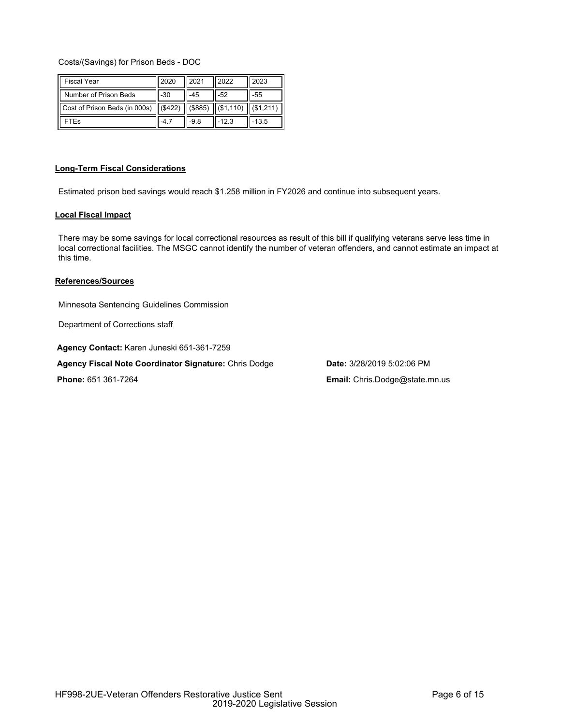# Costs/(Savings) for Prison Beds - DOC

| <b>Fiscal Year</b>            | 2020    | 2021    | 2022         | 2023              |
|-------------------------------|---------|---------|--------------|-------------------|
| Number of Prison Beds         | -30     | -45     | -52          | -55               |
| Cost of Prison Beds (in 000s) | (\$422) | (\$885) | $($ \$1,110) | $\vert$ (\$1,211) |
| FTEs                          | $-4.7$  | $-98$   | $-12.3$      | $-13.5$           |

## **Long-Term Fiscal Considerations**

Estimated prison bed savings would reach \$1.258 million in FY2026 and continue into subsequent years.

## **Local Fiscal Impact**

There may be some savings for local correctional resources as result of this bill if qualifying veterans serve less time in local correctional facilities. The MSGC cannot identify the number of veteran offenders, and cannot estimate an impact at this time.

## **References/Sources**

Minnesota Sentencing Guidelines Commission

Department of Corrections staff

**Agency Contact:** Karen Juneski 651-361-7259

**Agency Fiscal Note Coordinator Signature:** Chris Dodge **Date:** 3/28/2019 5:02:06 PM

**Phone:** 651 361-7264 **Email:** Chris.Dodge@state.mn.us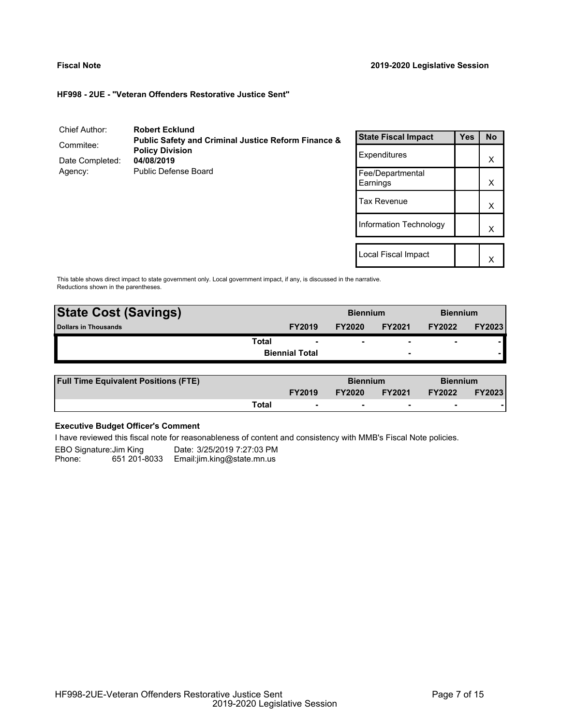X

**HF998 - 2UE - "Veteran Offenders Restorative Justice Sent"**

| Chief Author:                | <b>Robert Ecklund</b>                                          |                              |            |           |
|------------------------------|----------------------------------------------------------------|------------------------------|------------|-----------|
|                              | <b>Public Safety and Criminal Justice Reform Finance &amp;</b> | <b>State Fiscal Impact</b>   | <b>Yes</b> | <b>No</b> |
| Commitee:<br>Date Completed: | <b>Policy Division</b><br>04/08/2019                           | Expenditures                 |            | X         |
| Agency:                      | Public Defense Board                                           | Fee/Departmental<br>Earnings |            | X         |
|                              |                                                                | Tax Revenue                  |            | X         |
|                              |                                                                | Information Technology       |            | Χ         |
|                              |                                                                | Local Fiscal Impact          |            | $\lambda$ |

This table shows direct impact to state government only. Local government impact, if any, is discussed in the narrative. Reductions shown in the parentheses.

| <b>State Cost (Savings)</b> | <b>Biennium</b>       |               |                          | <b>Biennium</b>          |               |
|-----------------------------|-----------------------|---------------|--------------------------|--------------------------|---------------|
| <b>Dollars in Thousands</b> | <b>FY2019</b>         | <b>FY2020</b> | <b>FY2021</b>            | <b>FY2022</b>            | <b>FY2023</b> |
| <b>Total</b>                | ۰                     | ۰             | $\overline{\phantom{0}}$ | $\overline{\phantom{0}}$ |               |
|                             | <b>Biennial Total</b> |               | $\overline{\phantom{a}}$ |                          |               |
|                             |                       |               |                          |                          |               |

| <b>Full Time Equivalent Positions (FTE)</b> |               |   | <b>Biennium</b> |               | <b>Biennium</b> |               |
|---------------------------------------------|---------------|---|-----------------|---------------|-----------------|---------------|
|                                             | <b>FY2019</b> |   | <b>FY2020</b>   | <b>FY2021</b> | <b>FY2022</b>   | <b>FY2023</b> |
|                                             | Total         | - |                 |               |                 |               |

# **Executive Budget Officer's Comment**

I have reviewed this fiscal note for reasonableness of content and consistency with MMB's Fiscal Note policies.

EBO Signature:Jim King Date: 3/25/2019 7:27:03 PM<br>Phone: 651 201-8033 Email:jim.king@state.mn.us 651 201-8033 Email:jim.king@state.mn.us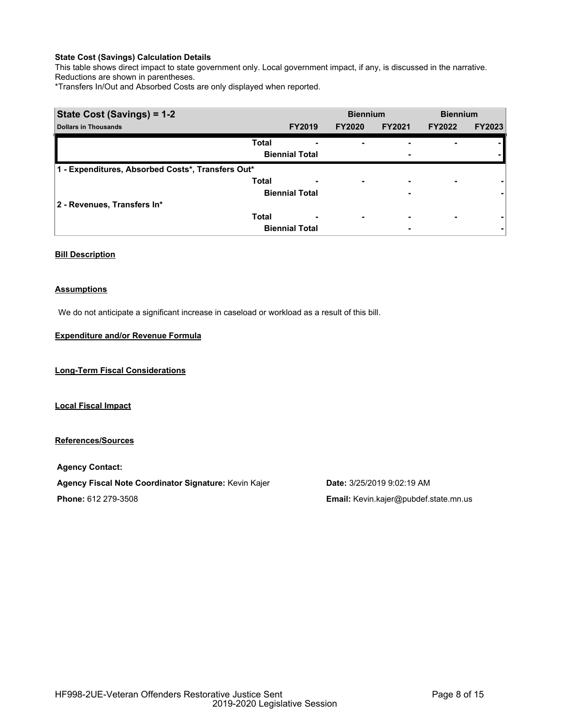This table shows direct impact to state government only. Local government impact, if any, is discussed in the narrative. Reductions are shown in parentheses.

\*Transfers In/Out and Absorbed Costs are only displayed when reported.

| State Cost (Savings) = 1-2                        |                       |               | <b>Biennium</b>          |               | <b>Biennium</b> |
|---------------------------------------------------|-----------------------|---------------|--------------------------|---------------|-----------------|
| <b>Dollars in Thousands</b>                       | <b>FY2019</b>         | <b>FY2020</b> | <b>FY2021</b>            | <b>FY2022</b> | <b>FY2023</b>   |
|                                                   | <b>Total</b><br>-     |               |                          |               |                 |
|                                                   | <b>Biennial Total</b> |               | $\overline{\phantom{0}}$ |               |                 |
| 1 - Expenditures, Absorbed Costs*, Transfers Out* |                       |               |                          |               |                 |
|                                                   | <b>Total</b><br>٠     | ۰             | $\overline{\phantom{0}}$ | ٠             |                 |
|                                                   | <b>Biennial Total</b> |               | $\overline{\phantom{0}}$ |               |                 |
| 2 - Revenues, Transfers In*                       |                       |               |                          |               |                 |
|                                                   | <b>Total</b><br>٠     | ۰             | $\overline{\phantom{0}}$ | ٠             |                 |
|                                                   | <b>Biennial Total</b> |               |                          |               |                 |

# **Bill Description**

## **Assumptions**

We do not anticipate a significant increase in caseload or workload as a result of this bill.

## **Expenditure and/or Revenue Formula**

**Long-Term Fiscal Considerations**

**Local Fiscal Impact**

**References/Sources**

**Agency Contact: Agency Fiscal Note Coordinator Signature:** Kevin Kajer **Date:** 3/25/2019 9:02:19 AM **Phone:** 612 279-3508 **Email:** Kevin.kajer@pubdef.state.mn.us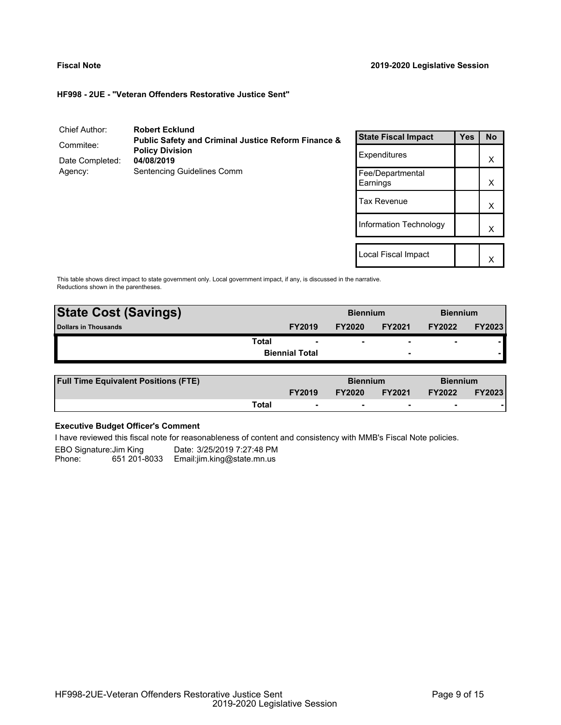Local Fiscal Impact

X

**HF998 - 2UE - "Veteran Offenders Restorative Justice Sent"**

| Chief Author:                         | <b>Robert Ecklund</b>                                          |                              |            |           |
|---------------------------------------|----------------------------------------------------------------|------------------------------|------------|-----------|
|                                       | <b>Public Safety and Criminal Justice Reform Finance &amp;</b> | <b>State Fiscal Impact</b>   | <b>Yes</b> | <b>No</b> |
| Commitee:<br><b>Policy Division</b>   |                                                                |                              |            |           |
| Date Completed:                       | 04/08/2019                                                     | Expenditures                 |            | X         |
| Sentencing Guidelines Comm<br>Agency: |                                                                | Fee/Departmental<br>Earnings |            | X         |
|                                       |                                                                | <b>Tax Revenue</b>           |            | X         |
|                                       |                                                                | Information Technology       |            | X         |
|                                       |                                                                |                              |            |           |

This table shows direct impact to state government only. Local government impact, if any, is discussed in the narrative. Reductions shown in the parentheses.

| <b>State Cost (Savings)</b> |                       |               | <b>Biennium</b>          |               | <b>Biennium</b> |  |
|-----------------------------|-----------------------|---------------|--------------------------|---------------|-----------------|--|
| <b>Dollars in Thousands</b> | <b>FY2019</b>         | <b>FY2020</b> | <b>FY2021</b>            | <b>FY2022</b> | <b>FY2023</b>   |  |
| <b>Total</b>                |                       | -             | $\overline{\phantom{0}}$ | -             |                 |  |
|                             | <b>Biennial Total</b> |               | $\overline{\phantom{0}}$ |               |                 |  |
|                             |                       |               |                          |               |                 |  |

| <b>Full Time Equivalent Positions (FTE)</b> |       | <b>Biennium</b> |               | <b>Biennium</b> |               |               |
|---------------------------------------------|-------|-----------------|---------------|-----------------|---------------|---------------|
|                                             |       | <b>FY2019</b>   | <b>FY2020</b> | <b>FY2021</b>   | <b>FY2022</b> | <b>FY2023</b> |
|                                             | Total | -               |               |                 |               |               |

# **Executive Budget Officer's Comment**

I have reviewed this fiscal note for reasonableness of content and consistency with MMB's Fiscal Note policies.

EBO Signature:Jim King Date: 3/25/2019 7:27:48 PM<br>Phone: 651 201-8033 Email:jim.king@state.mn.us 651 201-8033 Email:jim.king@state.mn.us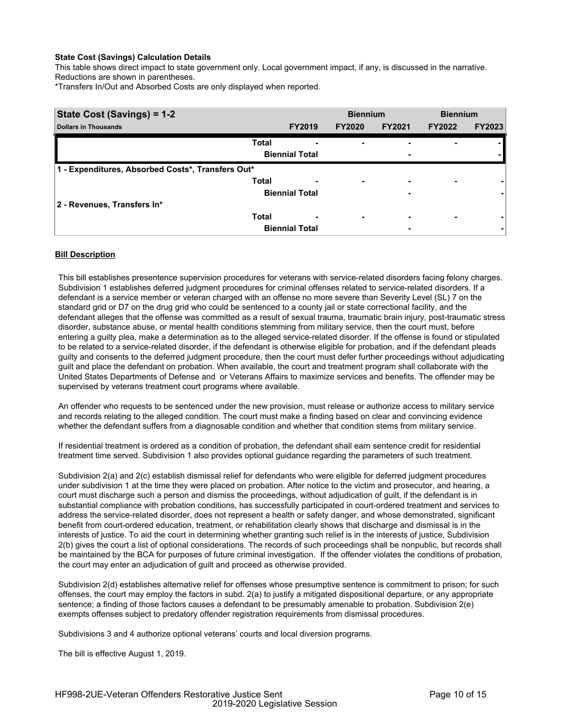This table shows direct impact to state government only. Local government impact, if any, is discussed in the narrative. Reductions are shown in parentheses.

\*Transfers In/Out and Absorbed Costs are only displayed when reported.

| State Cost (Savings) = 1-2                        |              | <b>Biennium</b>       |                          | <b>Biennium</b> |               |               |
|---------------------------------------------------|--------------|-----------------------|--------------------------|-----------------|---------------|---------------|
| <b>Dollars in Thousands</b>                       |              | <b>FY2019</b>         | <b>FY2020</b>            | <b>FY2021</b>   | <b>FY2022</b> | <b>FY2023</b> |
|                                                   | <b>Total</b> |                       |                          | -               |               |               |
|                                                   |              | <b>Biennial Total</b> |                          | ٠               |               |               |
| 1 - Expenditures, Absorbed Costs*, Transfers Out* |              |                       |                          |                 |               |               |
|                                                   | <b>Total</b> | -                     | ۰                        | ٠               | ٠             |               |
|                                                   |              | <b>Biennial Total</b> |                          | ٠               |               |               |
| 2 - Revenues, Transfers In*                       |              |                       |                          |                 |               |               |
|                                                   | <b>Total</b> | ٠                     | $\overline{\phantom{0}}$ | ٠               | ٠             |               |
|                                                   |              | <b>Biennial Total</b> |                          | ٠               |               |               |

## **Bill Description**

This bill establishes presentence supervision procedures for veterans with service-related disorders facing felony charges. Subdivision 1 establishes deferred judgment procedures for criminal offenses related to service-related disorders. If a defendant is a service member or veteran charged with an offense no more severe than Severity Level (SL) 7 on the standard grid or D7 on the drug grid who could be sentenced to a county jail or state correctional facility, and the defendant alleges that the offense was committed as a result of sexual trauma, traumatic brain injury, post-traumatic stress disorder, substance abuse, or mental health conditions stemming from military service, then the court must, before entering a guilty plea, make a determination as to the alleged service-related disorder. If the offense is found or stipulated to be related to a service-related disorder, if the defendant is otherwise eligible for probation, and if the defendant pleads guilty and consents to the deferred judgment procedure, then the court must defer further proceedings without adjudicating guilt and place the defendant on probation. When available, the court and treatment program shall collaborate with the United States Departments of Defense and or Veterans Affairs to maximize services and benefits. The offender may be supervised by veterans treatment court programs where available.

An offender who requests to be sentenced under the new provision, must release or authorize access to military service and records relating to the alleged condition. The court must make a finding based on clear and convincing evidence whether the defendant suffers from a diagnosable condition and whether that condition stems from military service.

If residential treatment is ordered as a condition of probation, the defendant shall earn sentence credit for residential treatment time served. Subdivision 1 also provides optional guidance regarding the parameters of such treatment.

Subdivision 2(a) and 2(c) establish dismissal relief for defendants who were eligible for deferred judgment procedures under subdivision 1 at the time they were placed on probation. After notice to the victim and prosecutor, and hearing, a court must discharge such a person and dismiss the proceedings, without adjudication of guilt, if the defendant is in substantial compliance with probation conditions, has successfully participated in court-ordered treatment and services to address the service-related disorder, does not represent a health or safety danger, and whose demonstrated, significant benefit from court-ordered education, treatment, or rehabilitation clearly shows that discharge and dismissal is in the interests of justice. To aid the court in determining whether granting such relief is in the interests of justice, Subdivision 2(b) gives the court a list of optional considerations. The records of such proceedings shall be nonpublic, but records shall be maintained by the BCA for purposes of future criminal investigation. If the offender violates the conditions of probation, the court may enter an adjudication of guilt and proceed as otherwise provided.

Subdivision 2(d) establishes alternative relief for offenses whose presumptive sentence is commitment to prison; for such offenses, the court may employ the factors in subd. 2(a) to justify a mitigated dispositional departure, or any appropriate sentence; a finding of those factors causes a defendant to be presumably amenable to probation. Subdivision 2(e) exempts offenses subject to predatory offender registration requirements from dismissal procedures.

Subdivisions 3 and 4 authorize optional veterans' courts and local diversion programs.

The bill is effective August 1, 2019.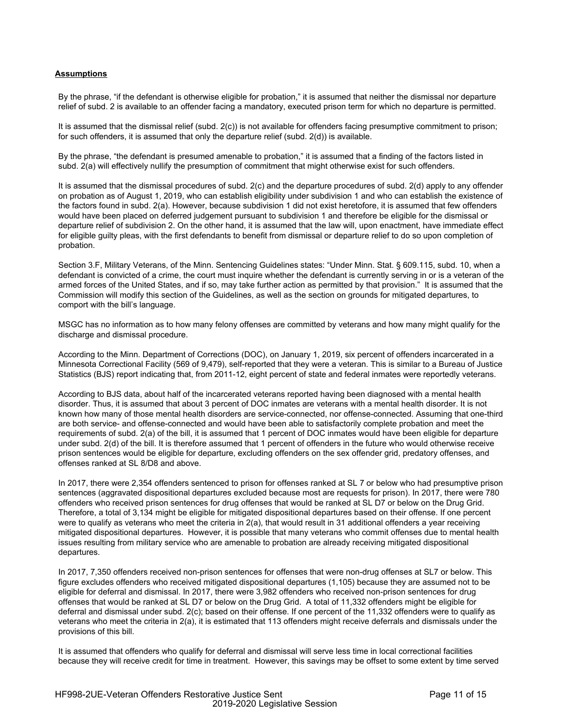# **Assumptions**

By the phrase, "if the defendant is otherwise eligible for probation," it is assumed that neither the dismissal nor departure relief of subd. 2 is available to an offender facing a mandatory, executed prison term for which no departure is permitted.

It is assumed that the dismissal relief (subd. 2(c)) is not available for offenders facing presumptive commitment to prison; for such offenders, it is assumed that only the departure relief (subd. 2(d)) is available.

By the phrase, "the defendant is presumed amenable to probation," it is assumed that a finding of the factors listed in subd. 2(a) will effectively nullify the presumption of commitment that might otherwise exist for such offenders.

It is assumed that the dismissal procedures of subd. 2(c) and the departure procedures of subd. 2(d) apply to any offender on probation as of August 1, 2019, who can establish eligibility under subdivision 1 and who can establish the existence of the factors found in subd. 2(a). However, because subdivision 1 did not exist heretofore, it is assumed that few offenders would have been placed on deferred judgement pursuant to subdivision 1 and therefore be eligible for the dismissal or departure relief of subdivision 2. On the other hand, it is assumed that the law will, upon enactment, have immediate effect for eligible guilty pleas, with the first defendants to benefit from dismissal or departure relief to do so upon completion of probation.

Section 3.F, Military Veterans, of the Minn. Sentencing Guidelines states: "Under Minn. Stat. § 609.115, subd. 10, when a defendant is convicted of a crime, the court must inquire whether the defendant is currently serving in or is a veteran of the armed forces of the United States, and if so, may take further action as permitted by that provision." It is assumed that the Commission will modify this section of the Guidelines, as well as the section on grounds for mitigated departures, to comport with the bill's language.

MSGC has no information as to how many felony offenses are committed by veterans and how many might qualify for the discharge and dismissal procedure.

According to the Minn. Department of Corrections (DOC), on January 1, 2019, six percent of offenders incarcerated in a Minnesota Correctional Facility (569 of 9,479), self-reported that they were a veteran. This is similar to a Bureau of Justice Statistics (BJS) report indicating that, from 2011-12, eight percent of state and federal inmates were reportedly veterans.

According to BJS data, about half of the incarcerated veterans reported having been diagnosed with a mental health disorder. Thus, it is assumed that about 3 percent of DOC inmates are veterans with a mental health disorder. It is not known how many of those mental health disorders are service-connected, nor offense-connected. Assuming that one-third are both service- and offense-connected and would have been able to satisfactorily complete probation and meet the requirements of subd. 2(a) of the bill, it is assumed that 1 percent of DOC inmates would have been eligible for departure under subd. 2(d) of the bill. It is therefore assumed that 1 percent of offenders in the future who would otherwise receive prison sentences would be eligible for departure, excluding offenders on the sex offender grid, predatory offenses, and offenses ranked at SL 8/D8 and above.

In 2017, there were 2,354 offenders sentenced to prison for offenses ranked at SL 7 or below who had presumptive prison sentences (aggravated dispositional departures excluded because most are requests for prison). In 2017, there were 780 offenders who received prison sentences for drug offenses that would be ranked at SL D7 or below on the Drug Grid. Therefore, a total of 3,134 might be eligible for mitigated dispositional departures based on their offense. If one percent were to qualify as veterans who meet the criteria in 2(a), that would result in 31 additional offenders a year receiving mitigated dispositional departures. However, it is possible that many veterans who commit offenses due to mental health issues resulting from military service who are amenable to probation are already receiving mitigated dispositional departures.

In 2017, 7,350 offenders received non-prison sentences for offenses that were non-drug offenses at SL7 or below. This figure excludes offenders who received mitigated dispositional departures (1,105) because they are assumed not to be eligible for deferral and dismissal. In 2017, there were 3,982 offenders who received non-prison sentences for drug offenses that would be ranked at SL D7 or below on the Drug Grid. A total of 11,332 offenders might be eligible for deferral and dismissal under subd. 2(c); based on their offense. If one percent of the 11,332 offenders were to qualify as veterans who meet the criteria in 2(a), it is estimated that 113 offenders might receive deferrals and dismissals under the provisions of this bill.

It is assumed that offenders who qualify for deferral and dismissal will serve less time in local correctional facilities because they will receive credit for time in treatment. However, this savings may be offset to some extent by time served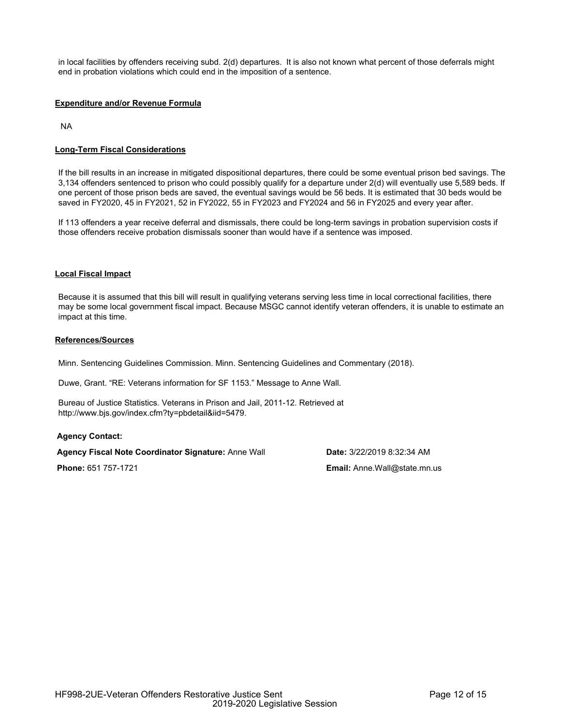in local facilities by offenders receiving subd. 2(d) departures. It is also not known what percent of those deferrals might end in probation violations which could end in the imposition of a sentence.

## **Expenditure and/or Revenue Formula**

NA

## **Long-Term Fiscal Considerations**

If the bill results in an increase in mitigated dispositional departures, there could be some eventual prison bed savings. The 3,134 offenders sentenced to prison who could possibly qualify for a departure under 2(d) will eventually use 5,589 beds. If one percent of those prison beds are saved, the eventual savings would be 56 beds. It is estimated that 30 beds would be saved in FY2020, 45 in FY2021, 52 in FY2022, 55 in FY2023 and FY2024 and 56 in FY2025 and every year after.

If 113 offenders a year receive deferral and dismissals, there could be long-term savings in probation supervision costs if those offenders receive probation dismissals sooner than would have if a sentence was imposed.

## **Local Fiscal Impact**

Because it is assumed that this bill will result in qualifying veterans serving less time in local correctional facilities, there may be some local government fiscal impact. Because MSGC cannot identify veteran offenders, it is unable to estimate an impact at this time.

#### **References/Sources**

Minn. Sentencing Guidelines Commission. Minn. Sentencing Guidelines and Commentary (2018).

Duwe, Grant. "RE: Veterans information for SF 1153." Message to Anne Wall.

Bureau of Justice Statistics. Veterans in Prison and Jail, 2011-12. Retrieved at http://www.bjs.gov/index.cfm?ty=pbdetail&iid=5479.

## **Agency Contact:**

**Agency Fiscal Note Coordinator Signature:** Anne Wall **Date:** 3/22/2019 8:32:34 AM

**Phone:** 651 757-1721 **Email:** Anne.Wall@state.mn.us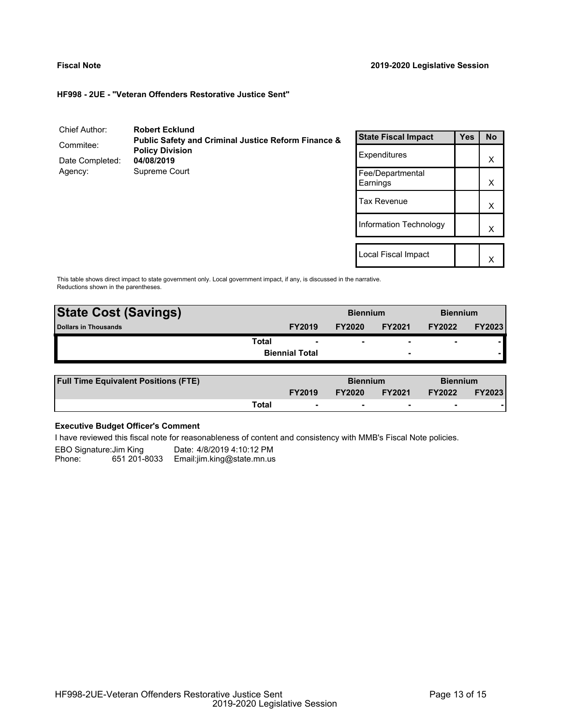$\vert x \vert$ 

### **HF998 - 2UE - "Veteran Offenders Restorative Justice Sent"**

| Chief Author:   | <b>Robert Ecklund</b>                                          |                              |            |           |
|-----------------|----------------------------------------------------------------|------------------------------|------------|-----------|
|                 | <b>Public Safety and Criminal Justice Reform Finance &amp;</b> | <b>State Fiscal Impact</b>   | <b>Yes</b> | <b>No</b> |
| Commitee:       | <b>Policy Division</b>                                         |                              |            |           |
| Date Completed: | 04/08/2019                                                     | <b>Expenditures</b>          |            | X         |
| Agency:         | Supreme Court                                                  | Fee/Departmental<br>Earnings |            | Χ         |
|                 |                                                                | Tax Revenue                  |            | X         |
|                 |                                                                | Information Technology       |            | Χ         |
|                 |                                                                |                              |            |           |
|                 |                                                                | Local Fiscal Impact          |            | v         |

This table shows direct impact to state government only. Local government impact, if any, is discussed in the narrative. Reductions shown in the parentheses.

| <b>State Cost (Savings)</b> |                          |               | <b>Biennium</b>          |                          | <b>Biennium</b> |  |
|-----------------------------|--------------------------|---------------|--------------------------|--------------------------|-----------------|--|
| <b>Dollars in Thousands</b> | <b>FY2019</b>            | <b>FY2020</b> | <b>FY2021</b>            | <b>FY2022</b>            | <b>FY2023</b>   |  |
| Total                       | $\overline{\phantom{0}}$ | ۰             |                          | $\overline{\phantom{0}}$ |                 |  |
|                             | <b>Biennial Total</b>    |               | $\overline{\phantom{0}}$ |                          |                 |  |
|                             |                          |               |                          |                          |                 |  |

| <b>Full Time Equivalent Positions (FTE)</b> |       | <b>Biennium</b> |               | <b>Biennium</b> |               |               |
|---------------------------------------------|-------|-----------------|---------------|-----------------|---------------|---------------|
|                                             |       | <b>FY2019</b>   | <b>FY2020</b> | <b>FY2021</b>   | <b>FY2022</b> | <b>FY2023</b> |
|                                             | Total | $\sim$          |               |                 |               |               |

# **Executive Budget Officer's Comment**

I have reviewed this fiscal note for reasonableness of content and consistency with MMB's Fiscal Note policies.

EBO Signature:Jim King Date: 4/8/2019 4:10:12 PM<br>Phone: 651 201-8033 Email:jim.king@state.mn.us 651 201-8033 Email:jim.king@state.mn.us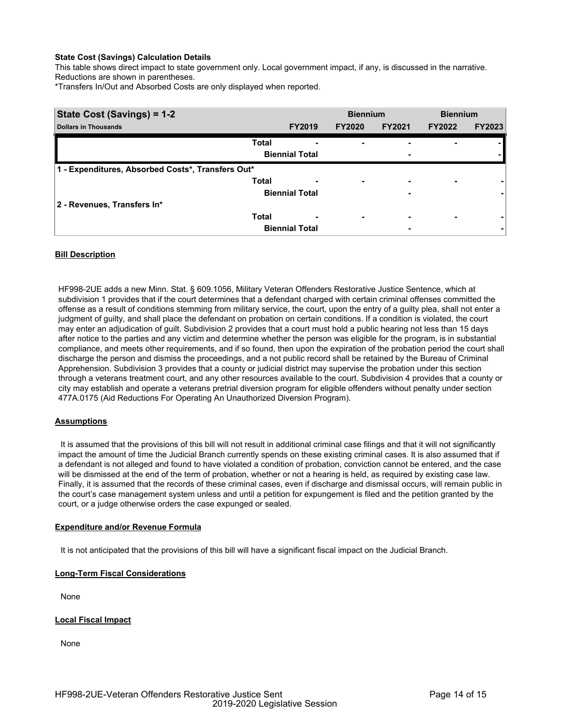This table shows direct impact to state government only. Local government impact, if any, is discussed in the narrative. Reductions are shown in parentheses.

\*Transfers In/Out and Absorbed Costs are only displayed when reported.

| State Cost (Savings) = 1-2                        |              | <b>Biennium</b>          |               | <b>Biennium</b> |               |               |
|---------------------------------------------------|--------------|--------------------------|---------------|-----------------|---------------|---------------|
| <b>Dollars in Thousands</b>                       |              | <b>FY2019</b>            | <b>FY2020</b> | <b>FY2021</b>   | <b>FY2022</b> | <b>FY2023</b> |
|                                                   | <b>Total</b> |                          |               | ۰               |               |               |
|                                                   |              | <b>Biennial Total</b>    |               | ٠               |               |               |
| 1 - Expenditures, Absorbed Costs*, Transfers Out* |              |                          |               |                 |               |               |
|                                                   | <b>Total</b> | $\overline{\phantom{0}}$ | ۰             | ٠               | ۰             |               |
|                                                   |              | <b>Biennial Total</b>    |               | ٠               |               |               |
| 2 - Revenues, Transfers In*                       |              |                          |               |                 |               |               |
|                                                   | <b>Total</b> | $\overline{\phantom{0}}$ |               | ۰               |               |               |
|                                                   |              | <b>Biennial Total</b>    |               | ۰               |               |               |

## **Bill Description**

HF998-2UE adds a new Minn. Stat. § 609.1056, Military Veteran Offenders Restorative Justice Sentence, which at subdivision 1 provides that if the court determines that a defendant charged with certain criminal offenses committed the offense as a result of conditions stemming from military service, the court, upon the entry of a guilty plea, shall not enter a judgment of guilty, and shall place the defendant on probation on certain conditions. If a condition is violated, the court may enter an adjudication of guilt. Subdivision 2 provides that a court must hold a public hearing not less than 15 days after notice to the parties and any victim and determine whether the person was eligible for the program, is in substantial compliance, and meets other requirements, and if so found, then upon the expiration of the probation period the court shall discharge the person and dismiss the proceedings, and a not public record shall be retained by the Bureau of Criminal Apprehension. Subdivision 3 provides that a county or judicial district may supervise the probation under this section through a veterans treatment court, and any other resources available to the court. Subdivision 4 provides that a county or city may establish and operate a veterans pretrial diversion program for eligible offenders without penalty under section 477A.0175 (Aid Reductions For Operating An Unauthorized Diversion Program).

## **Assumptions**

 It is assumed that the provisions of this bill will not result in additional criminal case filings and that it will not significantly impact the amount of time the Judicial Branch currently spends on these existing criminal cases. It is also assumed that if a defendant is not alleged and found to have violated a condition of probation, conviction cannot be entered, and the case will be dismissed at the end of the term of probation, whether or not a hearing is held, as required by existing case law. Finally, it is assumed that the records of these criminal cases, even if discharge and dismissal occurs, will remain public in the court's case management system unless and until a petition for expungement is filed and the petition granted by the court, or a judge otherwise orders the case expunged or sealed.

## **Expenditure and/or Revenue Formula**

It is not anticipated that the provisions of this bill will have a significant fiscal impact on the Judicial Branch.

# **Long-Term Fiscal Considerations**

None

## **Local Fiscal Impact**

None